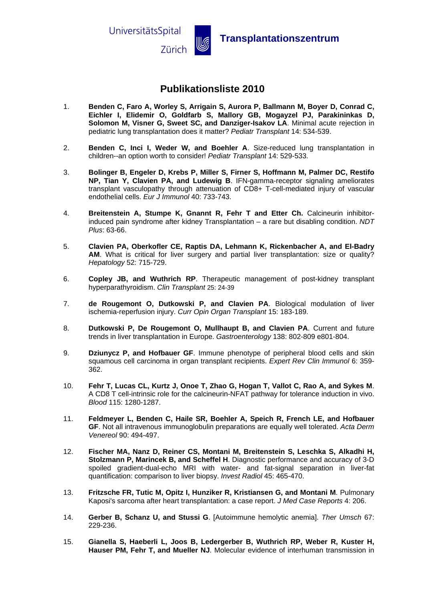UniversitätsSpital



**Zürich WE** Transplantationszentrum

## **Publikationsliste 2010**

- 1. **Benden C, Faro A, Worley S, Arrigain S, Aurora P, Ballmann M, Boyer D, Conrad C, Eichler I, Elidemir O, Goldfarb S, Mallory GB, Mogayzel PJ, Parakininkas D, Solomon M, Visner G, Sweet SC, and Danziger-Isakov LA**. Minimal acute rejection in pediatric lung transplantation does it matter? *Pediatr Transplant* 14: 534-539.
- 2. **Benden C, Inci I, Weder W, and Boehler A**. Size-reduced lung transplantation in children--an option worth to consider! *Pediatr Transplant* 14: 529-533.
- 3. **Bolinger B, Engeler D, Krebs P, Miller S, Firner S, Hoffmann M, Palmer DC, Restifo NP, Tian Y, Clavien PA, and Ludewig B**. IFN-gamma-receptor signaling ameliorates transplant vasculopathy through attenuation of CD8+ T-cell-mediated injury of vascular endothelial cells. *Eur J Immunol* 40: 733-743.
- 4. **Breitenstein A, Stumpe K, Gnannt R, Fehr T and Etter Ch.** Calcineurin inhibitorinduced pain syndrome after kidney Transplantation – a rare but disabling condition. *NDT Plus*: 63-66.
- 5. **Clavien PA, Oberkofler CE, Raptis DA, Lehmann K, Rickenbacher A, and El-Badry AM**. What is critical for liver surgery and partial liver transplantation: size or quality? *Hepatology* 52: 715-729.
- 6. **Copley JB, and Wuthrich RP**. Therapeutic management of post-kidney transplant hyperparathyroidism. *Clin Transplant* 25: 24-39
- 7. **de Rougemont O, Dutkowski P, and Clavien PA**. Biological modulation of liver ischemia-reperfusion injury. *Curr Opin Organ Transplant* 15: 183-189.
- 8. **Dutkowski P, De Rougemont O, Mullhaupt B, and Clavien PA**. Current and future trends in liver transplantation in Europe. *Gastroenterology* 138: 802-809 e801-804.
- 9. **Dziunycz P, and Hofbauer GF**. Immune phenotype of peripheral blood cells and skin squamous cell carcinoma in organ transplant recipients. *Expert Rev Clin Immunol* 6: 359- 362.
- 10. **Fehr T, Lucas CL, Kurtz J, Onoe T, Zhao G, Hogan T, Vallot C, Rao A, and Sykes M**. A CD8 T cell-intrinsic role for the calcineurin-NFAT pathway for tolerance induction in vivo. *Blood* 115: 1280-1287.
- 11. **Feldmeyer L, Benden C, Haile SR, Boehler A, Speich R, French LE, and Hofbauer GF**. Not all intravenous immunoglobulin preparations are equally well tolerated. *Acta Derm Venereol* 90: 494-497.
- 12. **Fischer MA, Nanz D, Reiner CS, Montani M, Breitenstein S, Leschka S, Alkadhi H, Stolzmann P, Marincek B, and Scheffel H**. Diagnostic performance and accuracy of 3-D spoiled gradient-dual-echo MRI with water- and fat-signal separation in liver-fat quantification: comparison to liver biopsy. *Invest Radiol* 45: 465-470.
- 13. **Fritzsche FR, Tutic M, Opitz I, Hunziker R, Kristiansen G, and Montani M**. Pulmonary Kaposi's sarcoma after heart transplantation: a case report. *J Med Case Reports* 4: 206.
- 14. **Gerber B, Schanz U, and Stussi G**. [Autoimmune hemolytic anemia]. *Ther Umsch* 67: 229-236.
- 15. **Gianella S, Haeberli L, Joos B, Ledergerber B, Wuthrich RP, Weber R, Kuster H, Hauser PM, Fehr T, and Mueller NJ**. Molecular evidence of interhuman transmission in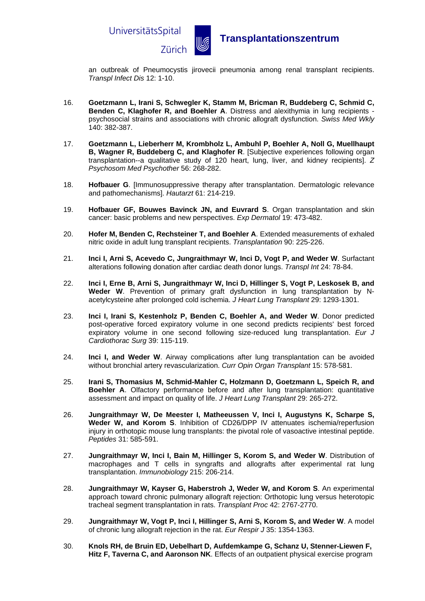

an outbreak of Pneumocystis jirovecii pneumonia among renal transplant recipients. *Transpl Infect Dis* 12: 1-10.

- 16. **Goetzmann L, Irani S, Schwegler K, Stamm M, Bricman R, Buddeberg C, Schmid C, Benden C, Klaghofer R, and Boehler A**. Distress and alexithymia in lung recipients psychosocial strains and associations with chronic allograft dysfunction. *Swiss Med Wkly*  140: 382-387.
- 17. **Goetzmann L, Lieberherr M, Krombholz L, Ambuhl P, Boehler A, Noll G, Muellhaupt B, Wagner R, Buddeberg C, and Klaghofer R**. [Subjective experiences following organ transplantation--a qualitative study of 120 heart, lung, liver, and kidney recipients]. *Z Psychosom Med Psychother* 56: 268-282.
- 18. **Hofbauer G**. [Immunosuppressive therapy after transplantation. Dermatologic relevance and pathomechanisms]. *Hautarzt* 61: 214-219.
- 19. **Hofbauer GF, Bouwes Bavinck JN, and Euvrard S**. Organ transplantation and skin cancer: basic problems and new perspectives. *Exp Dermatol* 19: 473-482.
- 20. **Hofer M, Benden C, Rechsteiner T, and Boehler A**. Extended measurements of exhaled nitric oxide in adult lung transplant recipients. *Transplantation* 90: 225-226.
- 21. **Inci I, Arni S, Acevedo C, Jungraithmayr W, Inci D, Vogt P, and Weder W**. Surfactant alterations following donation after cardiac death donor lungs. *Transpl Int* 24: 78-84.
- 22. **Inci I, Erne B, Arni S, Jungraithmayr W, Inci D, Hillinger S, Vogt P, Leskosek B, and Weder W**. Prevention of primary graft dysfunction in lung transplantation by Nacetylcysteine after prolonged cold ischemia. *J Heart Lung Transplant* 29: 1293-1301.
- 23. **Inci I, Irani S, Kestenholz P, Benden C, Boehler A, and Weder W**. Donor predicted post-operative forced expiratory volume in one second predicts recipients' best forced expiratory volume in one second following size-reduced lung transplantation. *Eur J Cardiothorac Surg* 39: 115-119.
- 24. **Inci I, and Weder W**. Airway complications after lung transplantation can be avoided without bronchial artery revascularization. *Curr Opin Organ Transplant* 15: 578-581.
- 25. **Irani S, Thomasius M, Schmid-Mahler C, Holzmann D, Goetzmann L, Speich R, and Boehler A**. Olfactory performance before and after lung transplantation: quantitative assessment and impact on quality of life. *J Heart Lung Transplant* 29: 265-272.
- 26. **Jungraithmayr W, De Meester I, Matheeussen V, Inci I, Augustyns K, Scharpe S, Weder W, and Korom S**. Inhibition of CD26/DPP IV attenuates ischemia/reperfusion injury in orthotopic mouse lung transplants: the pivotal role of vasoactive intestinal peptide. *Peptides* 31: 585-591.
- 27. **Jungraithmayr W, Inci I, Bain M, Hillinger S, Korom S, and Weder W**. Distribution of macrophages and T cells in syngrafts and allografts after experimental rat lung transplantation. *Immunobiology* 215: 206-214.
- 28. **Jungraithmayr W, Kayser G, Haberstroh J, Weder W, and Korom S**. An experimental approach toward chronic pulmonary allograft rejection: Orthotopic lung versus heterotopic tracheal segment transplantation in rats. *Transplant Proc* 42: 2767-2770.
- 29. **Jungraithmayr W, Vogt P, Inci I, Hillinger S, Arni S, Korom S, and Weder W**. A model of chronic lung allograft rejection in the rat. *Eur Respir J* 35: 1354-1363.
- 30. **Knols RH, de Bruin ED, Uebelhart D, Aufdemkampe G, Schanz U, Stenner-Liewen F, Hitz F, Taverna C, and Aaronson NK**. Effects of an outpatient physical exercise program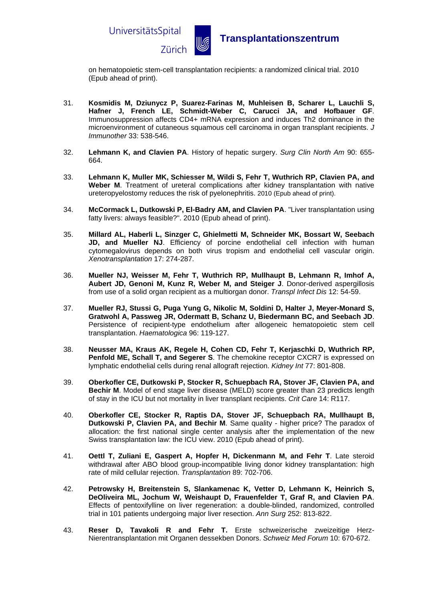

on hematopoietic stem-cell transplantation recipients: a randomized clinical trial. 2010 (Epub ahead of print).

- 31. **Kosmidis M, Dziunycz P, Suarez-Farinas M, Muhleisen B, Scharer L, Lauchli S, Hafner J, French LE, Schmidt-Weber C, Carucci JA, and Hofbauer GF**. Immunosuppression affects CD4+ mRNA expression and induces Th2 dominance in the microenvironment of cutaneous squamous cell carcinoma in organ transplant recipients. *J Immunother* 33: 538-546.
- 32. **Lehmann K, and Clavien PA**. History of hepatic surgery. *Surg Clin North Am* 90: 655- 664.
- 33. **Lehmann K, Muller MK, Schiesser M, Wildi S, Fehr T, Wuthrich RP, Clavien PA, and Weber M**. Treatment of ureteral complications after kidney transplantation with native ureteropyelostomy reduces the risk of pyelonephritis. 2010 (Epub ahead of print).
- 34. **McCormack L, Dutkowski P, El-Badry AM, and Clavien PA**. "Liver transplantation using fatty livers: always feasible?". 2010 (Epub ahead of print).
- 35. **Millard AL, Haberli L, Sinzger C, Ghielmetti M, Schneider MK, Bossart W, Seebach JD, and Mueller NJ**. Efficiency of porcine endothelial cell infection with human cytomegalovirus depends on both virus tropism and endothelial cell vascular origin. *Xenotransplantation* 17: 274-287.
- 36. **Mueller NJ, Weisser M, Fehr T, Wuthrich RP, Mullhaupt B, Lehmann R, Imhof A, Aubert JD, Genoni M, Kunz R, Weber M, and Steiger J**. Donor-derived aspergillosis from use of a solid organ recipient as a multiorgan donor. *Transpl Infect Dis* 12: 54-59.
- 37. **Mueller RJ, Stussi G, Puga Yung G, Nikolic M, Soldini D, Halter J, Meyer-Monard S, Gratwohl A, Passweg JR, Odermatt B, Schanz U, Biedermann BC, and Seebach JD**. Persistence of recipient-type endothelium after allogeneic hematopoietic stem cell transplantation. *Haematologica* 96: 119-127.
- 38. **Neusser MA, Kraus AK, Regele H, Cohen CD, Fehr T, Kerjaschki D, Wuthrich RP, Penfold ME, Schall T, and Segerer S**. The chemokine receptor CXCR7 is expressed on lymphatic endothelial cells during renal allograft rejection. *Kidney Int* 77: 801-808.
- 39. **Oberkofler CE, Dutkowski P, Stocker R, Schuepbach RA, Stover JF, Clavien PA, and Bechir M**. Model of end stage liver disease (MELD) score greater than 23 predicts length of stay in the ICU but not mortality in liver transplant recipients. *Crit Care* 14: R117.
- 40. **Oberkofler CE, Stocker R, Raptis DA, Stover JF, Schuepbach RA, Mullhaupt B, Dutkowski P, Clavien PA, and Bechir M**. Same quality - higher price? The paradox of allocation: the first national single center analysis after the implementation of the new Swiss transplantation law: the ICU view. 2010 (Epub ahead of print).
- 41. **Oettl T, Zuliani E, Gaspert A, Hopfer H, Dickenmann M, and Fehr T**. Late steroid withdrawal after ABO blood group-incompatible living donor kidney transplantation: high rate of mild cellular rejection. *Transplantation* 89: 702-706.
- 42. **Petrowsky H, Breitenstein S, Slankamenac K, Vetter D, Lehmann K, Heinrich S, DeOliveira ML, Jochum W, Weishaupt D, Frauenfelder T, Graf R, and Clavien PA**. Effects of pentoxifylline on liver regeneration: a double-blinded, randomized, controlled trial in 101 patients undergoing major liver resection. *Ann Surg* 252: 813-822.
- 43. **Reser D, Tavakoli R and Fehr T.** Erste schweizerische zweizeitige Herz-Nierentransplantation mit Organen dessekben Donors. *Schweiz Med Forum* 10: 670-672.